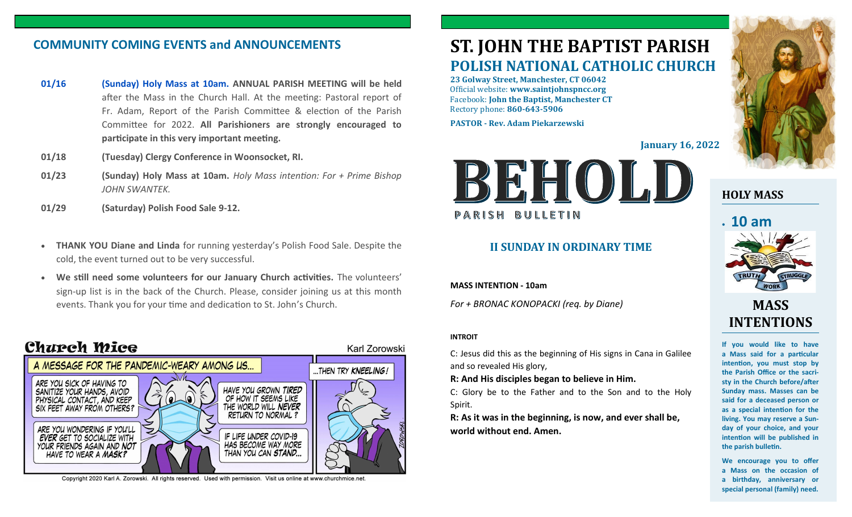# **COMMUNITY COMING EVENTS and ANNOUNCEMENTS**

- **01/16 (Sunday) Holy Mass at 10am. ANNUAL PARISH MEETING will be held**  after the Mass in the Church Hall. At the meeting: Pastoral report of Fr. Adam, Report of the Parish Committee & election of the Parish Committee for 2022. **All Parishioners are strongly encouraged to participate in this very important meeting.**
- **01/18 (Tuesday) Clergy Conference in Woonsocket, RI.**
- **01/23 (Sunday) Holy Mass at 10am.** *Holy Mass intention: For + Prime Bishop JOHN SWANTEK.*
- **01/29 (Saturday) Polish Food Sale 9-12.**
- **THANK YOU Diane and Linda** for running yesterday's Polish Food Sale. Despite the cold, the event turned out to be very successful.
- **We still need some volunteers for our January Church activities.** The volunteers' sign-up list is in the back of the Church. Please, consider joining us at this month events. Thank you for your time and dedication to St. John's Church.





Copyright 2020 Karl A. Zorowski. All rights reserved. Used with permission. Visit us online at www.churchmice.net

# **ST. JOHN THE BAPTIST PARISH POLISH NATIONAL CATHOLIC CHURCH**

**23 Golway Street, Manchester, CT 06042** Official website: **www.saintjohnspncc.org** Facebook: **John the Baptist, Manchester CT** Rectory phone: **860-643-5906** 

**PASTOR - Rev. Adam Piekarzewski**

**January 16, 2022**



### **II SUNDAY IN ORDINARY TIME**

**MASS INTENTION - 10am**

*For + BRONAC KONOPACKI (req. by Diane)*

### **INTROIT**

Karl Zorowski

C: Jesus did this as the beginning of His signs in Cana in Galilee and so revealed His glory,

**R: And His disciples began to believe in Him.**

C: Glory be to the Father and to the Son and to the Holy Spirit.

**R: As it was in the beginning, is now, and ever shall be, world without end. Amen.**



**HOLY MASS**

# • **10 am**



# **MASS INTENTIONS**

**If you would like to have a Mass said for a particular intention, you must stop by the Parish Office or the sacristy in the Church before/after Sunday mass. Masses can be said for a deceased person or as a special intention for the living. You may reserve a Sunday of your choice, and your intention will be published in the parish bulletin.**

**We encourage you to offer a Mass on the occasion of a birthday, anniversary or special personal (family) need.**